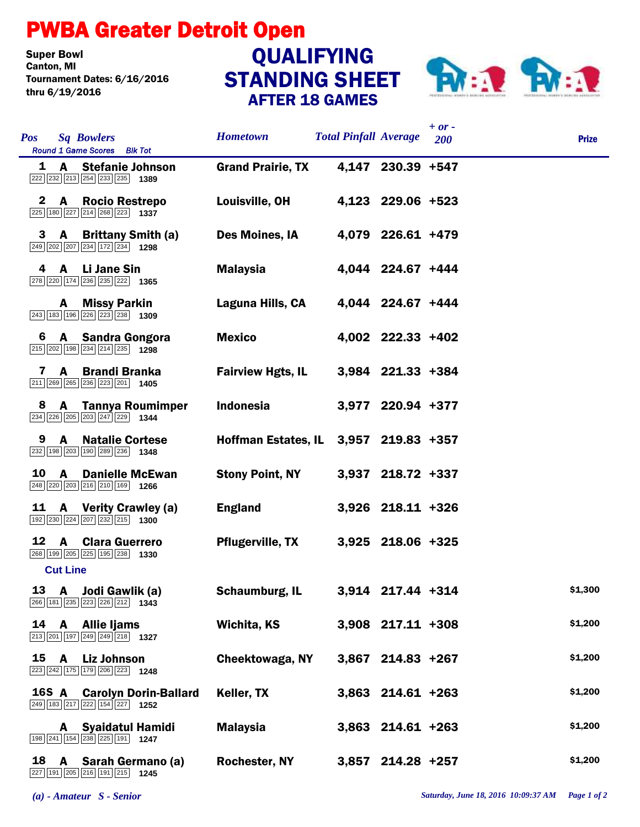## PWBA Greater Detroit Open

**Super Bowl<br>Canton, MI** Tournament Dates: 6/16/2016 thru 6/19/2016

## STANDING SHEET AFTER 18 GAMES **QUALIFYING**



| <b>Pos</b>   | <b>Sq Bowlers</b><br>Round 1 Game Scores Blk Tot                                                                               | <b>Hometown</b>                       | <b>Total Pinfall Average</b> |                     | $+ or -$<br>200 | <b>Prize</b> |
|--------------|--------------------------------------------------------------------------------------------------------------------------------|---------------------------------------|------------------------------|---------------------|-----------------|--------------|
|              | 1 A Stefanie Johnson<br>$\boxed{222}$ $\boxed{232}$ $\boxed{213}$ $\boxed{254}$ $\boxed{233}$ $\boxed{235}$ <b>1389</b>        | <b>Grand Prairie, TX</b>              |                              | 4,147 230.39 +547   |                 |              |
| $\mathbf{z}$ | <b>A</b> Rocio Restrepo<br>$\boxed{225}$ 180 $\boxed{227}$ $\boxed{214}$ $\boxed{268}$ $\boxed{223}$ 1337                      | Louisville, OH                        |                              | 4,123 229.06 +523   |                 |              |
|              | 3 A Brittany Smith (a)<br>249 202 207 234 172 234 1298                                                                         | Des Moines, IA                        |                              | 4,079 226.61 +479   |                 |              |
|              | 4 A Li Jane Sin<br>278 220 174 236 235 222 1365                                                                                | <b>Malaysia</b>                       |                              | 4,044 224.67 +444   |                 |              |
|              | <b>A</b> Missy Parkin<br>$\boxed{243}$ 183 196 226 223 238 1309                                                                | Laguna Hills, CA                      |                              | 4,044 224.67 +444   |                 |              |
| 6            | A Sandra Gongora<br>215 202 198 234 214 235 1298                                                                               | <b>Mexico</b>                         |                              | 4,002 222.33 +402   |                 |              |
|              | <b>Brandi Branka</b><br>7<br>A<br>211 269 265 236 223 201 1405                                                                 | <b>Fairview Hgts, IL</b>              |                              | 3,984 221.33 +384   |                 |              |
| 8            | <b>A</b> Tannya Roumimper<br>234 226 205 203 247 229 1344                                                                      | <b>Indonesia</b>                      |                              | 3,977 220.94 +377   |                 |              |
| 9            | <b>A</b> Natalie Cortese<br>232 198 203 190 289 236 1348                                                                       | Hoffman Estates, IL 3,957 219.83 +357 |                              |                     |                 |              |
| 10           | <b>Danielle McEwan</b><br>$\mathbf{A}$<br>248 220 203 216 210 169 1266                                                         | <b>Stony Point, NY</b>                |                              | 3,937 218.72 +337   |                 |              |
| 11           | <b>A</b> Verity Crawley (a)<br>$\boxed{192}$ $\boxed{230}$ $\boxed{224}$ $\boxed{207}$ $\boxed{232}$ $\boxed{215}$ <b>1300</b> | <b>England</b>                        |                              | 3,926 218.11 +326   |                 |              |
|              | 12 A Clara Guerrero<br>268 199 205 225 195 238 1330                                                                            | <b>Pflugerville, TX</b>               |                              | 3,925 218.06 +325   |                 |              |
|              | <b>Cut Line</b>                                                                                                                |                                       |                              |                     |                 |              |
|              | 13 A Jodi Gawlik (a)<br>266 181 235 223 226 212 1343                                                                           | Schaumburg, IL                        |                              | 3,914 217.44 +314   |                 | \$1,300      |
| 14           | A Allie liams<br>213 201 197 249 249 218 1327                                                                                  | Wichita, KS                           |                              | $3,908$ 217.11 +308 |                 | \$1,200      |
|              | 15 A Liz Johnson<br>223 242 175 179 206 223 1248                                                                               | Cheektowaga, NY                       |                              | 3,867 214.83 +267   |                 | \$1,200      |
|              | <b>16S A</b> Carolyn Dorin-Ballard<br>249 183 217 222 154 227 1252                                                             | Keller, TX                            |                              | 3,863 214.61 +263   |                 | \$1,200      |
|              | <b>Syaidatul Hamidi</b><br>A<br>198 241 154 238 225 191 1247                                                                   | <b>Malaysia</b>                       |                              | $3,863$ 214.61 +263 |                 | \$1,200      |
|              | 18 A Sarah Germano (a)<br>227 191 205 216 191 215 1245                                                                         | <b>Rochester, NY</b>                  |                              | $3,857$ 214.28 +257 |                 | \$1,200      |